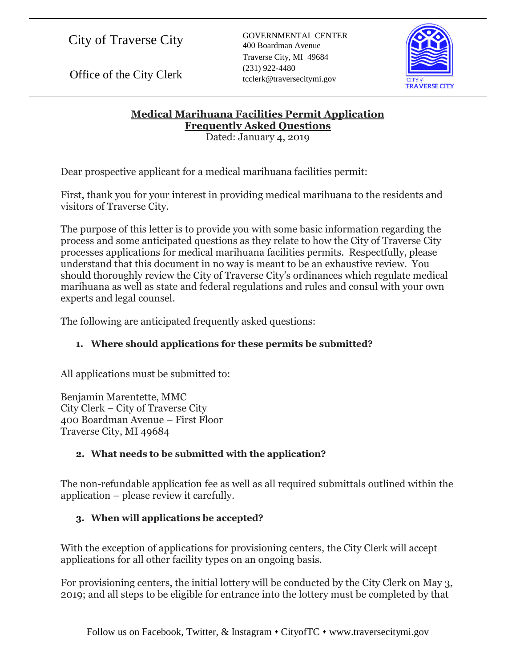City of Traverse City

Office of the City Clerk

GOVERNMENTAL CENTER 400 Boardman Avenue Traverse City, MI 49684 (231) 922-4480 tcclerk@traversecitymi.gov



**Medical Marihuana Facilities Permit Application Frequently Asked Questions** Dated: January 4, 2019

Dear prospective applicant for a medical marihuana facilities permit:

First, thank you for your interest in providing medical marihuana to the residents and visitors of Traverse City.

The purpose of this letter is to provide you with some basic information regarding the process and some anticipated questions as they relate to how the City of Traverse City processes applications for medical marihuana facilities permits. Respectfully, please understand that this document in no way is meant to be an exhaustive review. You should thoroughly review the City of Traverse City's ordinances which regulate medical marihuana as well as state and federal regulations and rules and consul with your own experts and legal counsel.

The following are anticipated frequently asked questions:

## **1. Where should applications for these permits be submitted?**

All applications must be submitted to:

Benjamin Marentette, MMC City Clerk – City of Traverse City 400 Boardman Avenue – First Floor Traverse City, MI 49684

## **2. What needs to be submitted with the application?**

The non-refundable application fee as well as all required submittals outlined within the application – please review it carefully.

## **3. When will applications be accepted?**

With the exception of applications for provisioning centers, the City Clerk will accept applications for all other facility types on an ongoing basis.

For provisioning centers, the initial lottery will be conducted by the City Clerk on May 3, 2019; and all steps to be eligible for entrance into the lottery must be completed by that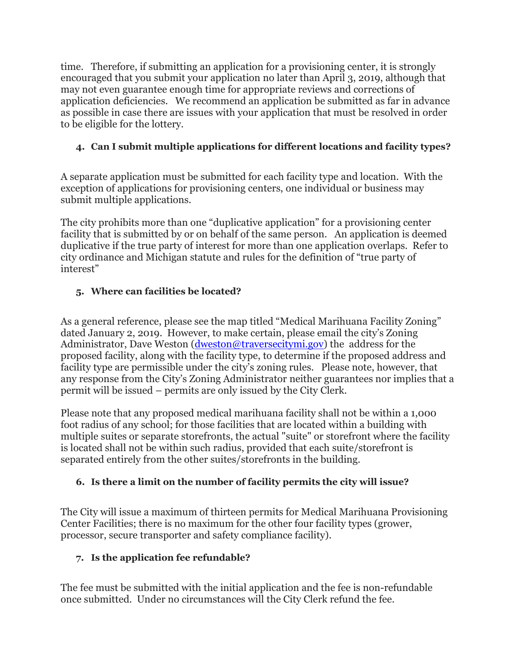time. Therefore, if submitting an application for a provisioning center, it is strongly encouraged that you submit your application no later than April 3, 2019, although that may not even guarantee enough time for appropriate reviews and corrections of application deficiencies. We recommend an application be submitted as far in advance as possible in case there are issues with your application that must be resolved in order to be eligible for the lottery.

## **4. Can I submit multiple applications for different locations and facility types?**

A separate application must be submitted for each facility type and location. With the exception of applications for provisioning centers, one individual or business may submit multiple applications.

The city prohibits more than one "duplicative application" for a provisioning center facility that is submitted by or on behalf of the same person. An application is deemed duplicative if the true party of interest for more than one application overlaps. Refer to city ordinance and Michigan statute and rules for the definition of "true party of interest"

## **5. Where can facilities be located?**

As a general reference, please see the map titled "Medical Marihuana Facility Zoning" dated January 2, 2019. However, to make certain, please email the city's Zoning Administrator, Dave Weston [\(dweston@traversecitymi.gov\)](mailto:dweston@traversecitymi.gov) the address for the proposed facility, along with the facility type, to determine if the proposed address and facility type are permissible under the city's zoning rules. Please note, however, that any response from the City's Zoning Administrator neither guarantees nor implies that a permit will be issued – permits are only issued by the City Clerk.

Please note that any proposed medical marihuana facility shall not be within a 1,000 foot radius of any school; for those facilities that are located within a building with multiple suites or separate storefronts, the actual "suite" or storefront where the facility is located shall not be within such radius, provided that each suite/storefront is separated entirely from the other suites/storefronts in the building.

## **6. Is there a limit on the number of facility permits the city will issue?**

The City will issue a maximum of thirteen permits for Medical Marihuana Provisioning Center Facilities; there is no maximum for the other four facility types (grower, processor, secure transporter and safety compliance facility).

## **7. Is the application fee refundable?**

The fee must be submitted with the initial application and the fee is non-refundable once submitted. Under no circumstances will the City Clerk refund the fee.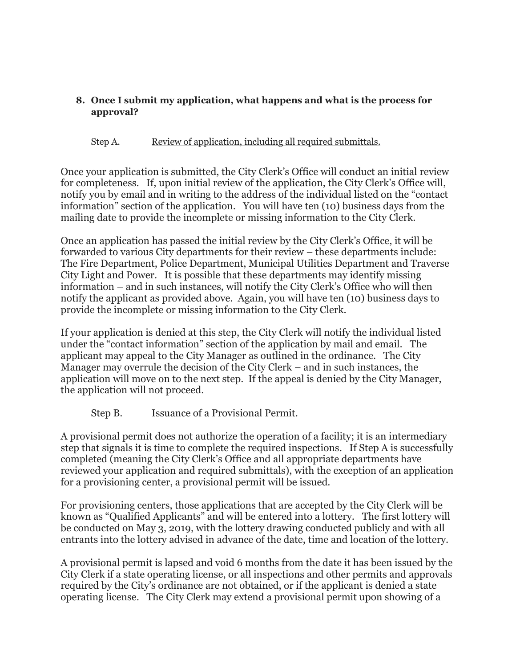#### **8. Once I submit my application, what happens and what is the process for approval?**

#### Step A. Review of application, including all required submittals.

Once your application is submitted, the City Clerk's Office will conduct an initial review for completeness. If, upon initial review of the application, the City Clerk's Office will, notify you by email and in writing to the address of the individual listed on the "contact information" section of the application. You will have ten (10) business days from the mailing date to provide the incomplete or missing information to the City Clerk.

Once an application has passed the initial review by the City Clerk's Office, it will be forwarded to various City departments for their review – these departments include: The Fire Department, Police Department, Municipal Utilities Department and Traverse City Light and Power. It is possible that these departments may identify missing information – and in such instances, will notify the City Clerk's Office who will then notify the applicant as provided above. Again, you will have ten (10) business days to provide the incomplete or missing information to the City Clerk.

If your application is denied at this step, the City Clerk will notify the individual listed under the "contact information" section of the application by mail and email. The applicant may appeal to the City Manager as outlined in the ordinance. The City Manager may overrule the decision of the City Clerk – and in such instances, the application will move on to the next step. If the appeal is denied by the City Manager, the application will not proceed.

## Step B. Issuance of a Provisional Permit.

A provisional permit does not authorize the operation of a facility; it is an intermediary step that signals it is time to complete the required inspections. If Step A is successfully completed (meaning the City Clerk's Office and all appropriate departments have reviewed your application and required submittals), with the exception of an application for a provisioning center, a provisional permit will be issued.

For provisioning centers, those applications that are accepted by the City Clerk will be known as "Qualified Applicants" and will be entered into a lottery. The first lottery will be conducted on May 3, 2019, with the lottery drawing conducted publicly and with all entrants into the lottery advised in advance of the date, time and location of the lottery.

A provisional permit is lapsed and void 6 months from the date it has been issued by the City Clerk if a state operating license, or all inspections and other permits and approvals required by the City's ordinance are not obtained, or if the applicant is denied a state operating license. The City Clerk may extend a provisional permit upon showing of a